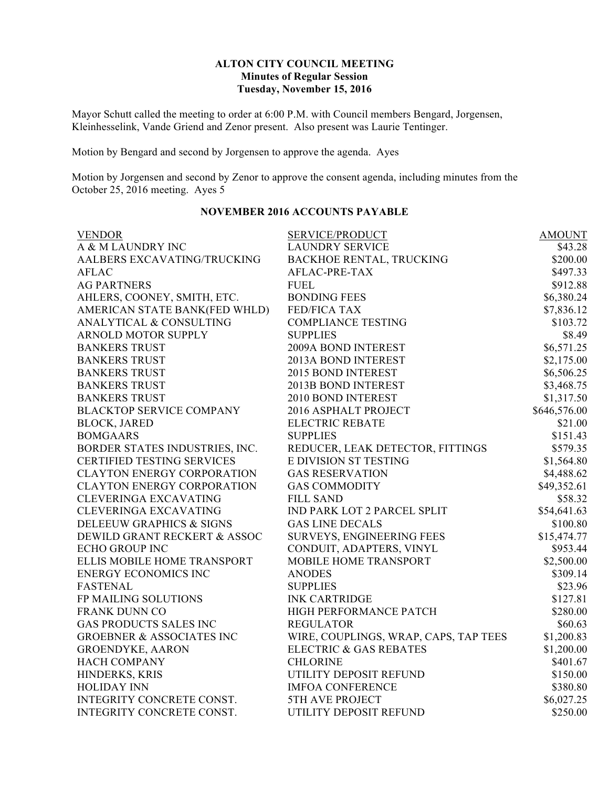## **ALTON CITY COUNCIL MEETING Minutes of Regular Session Tuesday, November 15, 2016**

Mayor Schutt called the meeting to order at 6:00 P.M. with Council members Bengard, Jorgensen, Kleinhesselink, Vande Griend and Zenor present. Also present was Laurie Tentinger.

Motion by Bengard and second by Jorgensen to approve the agenda. Ayes

Motion by Jorgensen and second by Zenor to approve the consent agenda, including minutes from the October 25, 2016 meeting. Ayes  $5$ 

| <b>VENDOR</b>                        | SERVICE/PRODUCT                       | <b>AMOUNT</b> |
|--------------------------------------|---------------------------------------|---------------|
| A & M LAUNDRY INC                    | <b>LAUNDRY SERVICE</b>                | \$43.28       |
| AALBERS EXCAVATING/TRUCKING          | <b>BACKHOE RENTAL, TRUCKING</b>       | \$200.00      |
| <b>AFLAC</b>                         | AFLAC-PRE-TAX                         | \$497.33      |
| <b>AG PARTNERS</b>                   | <b>FUEL</b>                           | \$912.88      |
| AHLERS, COONEY, SMITH, ETC.          | <b>BONDING FEES</b>                   | \$6,380.24    |
| AMERICAN STATE BANK(FED WHLD)        | <b>FED/FICA TAX</b>                   | \$7,836.12    |
| ANALYTICAL & CONSULTING              | <b>COMPLIANCE TESTING</b>             | \$103.72      |
| <b>ARNOLD MOTOR SUPPLY</b>           | <b>SUPPLIES</b>                       | \$8.49        |
| <b>BANKERS TRUST</b>                 | 2009A BOND INTEREST                   | \$6,571.25    |
| <b>BANKERS TRUST</b>                 | 2013A BOND INTEREST                   | \$2,175.00    |
| <b>BANKERS TRUST</b>                 | 2015 BOND INTEREST                    | \$6,506.25    |
| <b>BANKERS TRUST</b>                 | 2013B BOND INTEREST                   | \$3,468.75    |
| <b>BANKERS TRUST</b>                 | 2010 BOND INTEREST                    | \$1,317.50    |
| <b>BLACKTOP SERVICE COMPANY</b>      | 2016 ASPHALT PROJECT                  | \$646,576.00  |
| <b>BLOCK, JARED</b>                  | <b>ELECTRIC REBATE</b>                | \$21.00       |
| <b>BOMGAARS</b>                      | <b>SUPPLIES</b>                       | \$151.43      |
| BORDER STATES INDUSTRIES, INC.       | REDUCER, LEAK DETECTOR, FITTINGS      | \$579.35      |
| <b>CERTIFIED TESTING SERVICES</b>    | E DIVISION ST TESTING                 | \$1,564.80    |
| <b>CLAYTON ENERGY CORPORATION</b>    | <b>GAS RESERVATION</b>                | \$4,488.62    |
| <b>CLAYTON ENERGY CORPORATION</b>    | <b>GAS COMMODITY</b>                  | \$49,352.61   |
| <b>CLEVERINGA EXCAVATING</b>         | <b>FILL SAND</b>                      | \$58.32       |
| <b>CLEVERINGA EXCAVATING</b>         | IND PARK LOT 2 PARCEL SPLIT           | \$54,641.63   |
| DELEEUW GRAPHICS & SIGNS             | <b>GAS LINE DECALS</b>                | \$100.80      |
| DEWILD GRANT RECKERT & ASSOC         | SURVEYS, ENGINEERING FEES             | \$15,474.77   |
| <b>ECHO GROUP INC</b>                | CONDUIT, ADAPTERS, VINYL              | \$953.44      |
| ELLIS MOBILE HOME TRANSPORT          | MOBILE HOME TRANSPORT                 | \$2,500.00    |
| <b>ENERGY ECONOMICS INC</b>          | <b>ANODES</b>                         | \$309.14      |
| <b>FASTENAL</b>                      | <b>SUPPLIES</b>                       | \$23.96       |
| FP MAILING SOLUTIONS                 | <b>INK CARTRIDGE</b>                  | \$127.81      |
| <b>FRANK DUNN CO</b>                 | HIGH PERFORMANCE PATCH                | \$280.00      |
| <b>GAS PRODUCTS SALES INC</b>        | <b>REGULATOR</b>                      | \$60.63       |
| <b>GROEBNER &amp; ASSOCIATES INC</b> | WIRE, COUPLINGS, WRAP, CAPS, TAP TEES | \$1,200.83    |
| <b>GROENDYKE, AARON</b>              | <b>ELECTRIC &amp; GAS REBATES</b>     | \$1,200.00    |
| <b>HACH COMPANY</b>                  | <b>CHLORINE</b>                       | \$401.67      |
| HINDERKS, KRIS                       | UTILITY DEPOSIT REFUND                | \$150.00      |
| <b>HOLIDAY INN</b>                   | <b>IMFOA CONFERENCE</b>               | \$380.80      |
| INTEGRITY CONCRETE CONST.            | <b>5TH AVE PROJECT</b>                | \$6,027.25    |
| INTEGRITY CONCRETE CONST.            | UTILITY DEPOSIT REFUND                | \$250.00      |
|                                      |                                       |               |

## **NOVEMBER 2016 ACCOUNTS PAYABLE**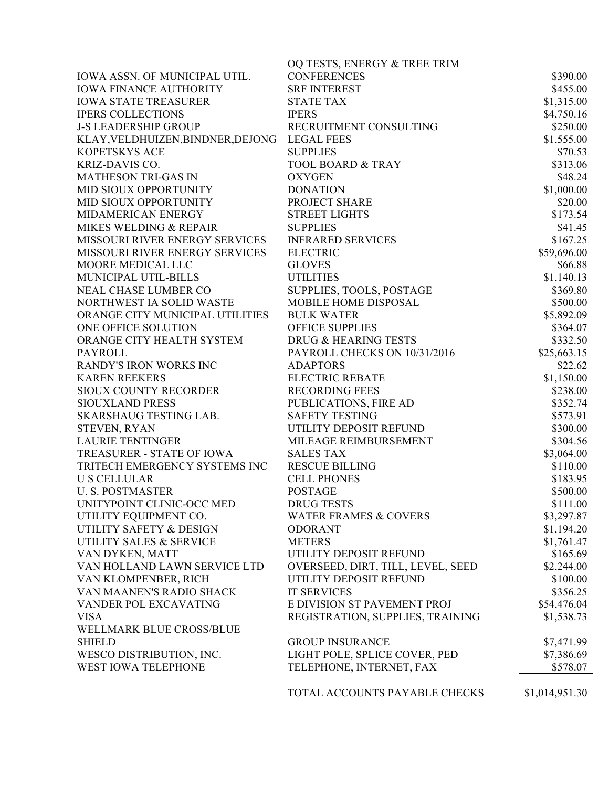|                                              | OQ TESTS, ENERGY & TREE TRIM      |                |
|----------------------------------------------|-----------------------------------|----------------|
| IOWA ASSN. OF MUNICIPAL UTIL.                | <b>CONFERENCES</b>                | \$390.00       |
| <b>IOWA FINANCE AUTHORITY</b>                | <b>SRF INTEREST</b>               | \$455.00       |
| <b>IOWA STATE TREASURER</b>                  | <b>STATE TAX</b>                  | \$1,315.00     |
| <b>IPERS COLLECTIONS</b>                     | <b>IPERS</b>                      | \$4,750.16     |
| <b>J-S LEADERSHIP GROUP</b>                  | RECRUITMENT CONSULTING            | \$250.00       |
| KLAY, VELDHUIZEN, BINDNER, DEJONG LEGAL FEES |                                   | \$1,555.00     |
| KOPETSKYS ACE                                | <b>SUPPLIES</b>                   | \$70.53        |
| KRIZ-DAVIS CO.                               | <b>TOOL BOARD &amp; TRAY</b>      | \$313.06       |
| <b>MATHESON TRI-GAS IN</b>                   | <b>OXYGEN</b>                     | \$48.24        |
| MID SIOUX OPPORTUNITY                        | <b>DONATION</b>                   | \$1,000.00     |
| MID SIOUX OPPORTUNITY                        | PROJECT SHARE                     | \$20.00        |
| MIDAMERICAN ENERGY                           | <b>STREET LIGHTS</b>              | \$173.54       |
| MIKES WELDING & REPAIR                       | <b>SUPPLIES</b>                   | \$41.45        |
| MISSOURI RIVER ENERGY SERVICES               | <b>INFRARED SERVICES</b>          | \$167.25       |
| MISSOURI RIVER ENERGY SERVICES               | <b>ELECTRIC</b>                   | \$59,696.00    |
| MOORE MEDICAL LLC                            | <b>GLOVES</b>                     | \$66.88        |
| MUNICIPAL UTIL-BILLS                         | <b>UTILITIES</b>                  | \$1,140.13     |
| NEAL CHASE LUMBER CO                         | SUPPLIES, TOOLS, POSTAGE          | \$369.80       |
| NORTHWEST IA SOLID WASTE                     | MOBILE HOME DISPOSAL              | \$500.00       |
| ORANGE CITY MUNICIPAL UTILITIES              | <b>BULK WATER</b>                 | \$5,892.09     |
| ONE OFFICE SOLUTION                          | <b>OFFICE SUPPLIES</b>            | \$364.07       |
| ORANGE CITY HEALTH SYSTEM                    | DRUG & HEARING TESTS              | \$332.50       |
| <b>PAYROLL</b>                               | PAYROLL CHECKS ON 10/31/2016      | \$25,663.15    |
| RANDY'S IRON WORKS INC                       | <b>ADAPTORS</b>                   | \$22.62        |
| <b>KAREN REEKERS</b>                         | <b>ELECTRIC REBATE</b>            | \$1,150.00     |
| <b>SIOUX COUNTY RECORDER</b>                 | <b>RECORDING FEES</b>             | \$238.00       |
| <b>SIOUXLAND PRESS</b>                       | PUBLICATIONS, FIRE AD             | \$352.74       |
| <b>SKARSHAUG TESTING LAB.</b>                | <b>SAFETY TESTING</b>             | \$573.91       |
| STEVEN, RYAN                                 | UTILITY DEPOSIT REFUND            | \$300.00       |
| <b>LAURIE TENTINGER</b>                      | MILEAGE REIMBURSEMENT             | \$304.56       |
| TREASURER - STATE OF IOWA                    | <b>SALES TAX</b>                  | \$3,064.00     |
| TRITECH EMERGENCY SYSTEMS INC                | <b>RESCUE BILLING</b>             | \$110.00       |
| <b>U S CELLULAR</b>                          | <b>CELL PHONES</b>                | \$183.95       |
| <b>U. S. POSTMASTER</b>                      | <b>POSTAGE</b>                    | \$500.00       |
| UNITYPOINT CLINIC-OCC MED                    | <b>DRUG TESTS</b>                 | \$111.00       |
| UTILITY EQUIPMENT CO.                        | <b>WATER FRAMES &amp; COVERS</b>  | \$3,297.87     |
| UTILITY SAFETY & DESIGN                      | <b>ODORANT</b>                    | \$1,194.20     |
| UTILITY SALES & SERVICE                      | <b>METERS</b>                     | \$1,761.47     |
| VAN DYKEN, MATT                              | UTILITY DEPOSIT REFUND            | \$165.69       |
| VAN HOLLAND LAWN SERVICE LTD                 | OVERSEED, DIRT, TILL, LEVEL, SEED | \$2,244.00     |
| VAN KLOMPENBER, RICH                         | UTILITY DEPOSIT REFUND            | \$100.00       |
| VAN MAANEN'S RADIO SHACK                     | <b>IT SERVICES</b>                | \$356.25       |
| VANDER POL EXCAVATING                        | E DIVISION ST PAVEMENT PROJ       | \$54,476.04    |
| <b>VISA</b>                                  | REGISTRATION, SUPPLIES, TRAINING  | \$1,538.73     |
| WELLMARK BLUE CROSS/BLUE                     |                                   |                |
| <b>SHIELD</b>                                | <b>GROUP INSURANCE</b>            | \$7,471.99     |
| WESCO DISTRIBUTION, INC.                     | LIGHT POLE, SPLICE COVER, PED     | \$7,386.69     |
| WEST IOWA TELEPHONE                          | TELEPHONE, INTERNET, FAX          | \$578.07       |
|                                              |                                   |                |
|                                              | TOTAL ACCOUNTS PAYABLE CHECKS     | \$1,014,951.30 |